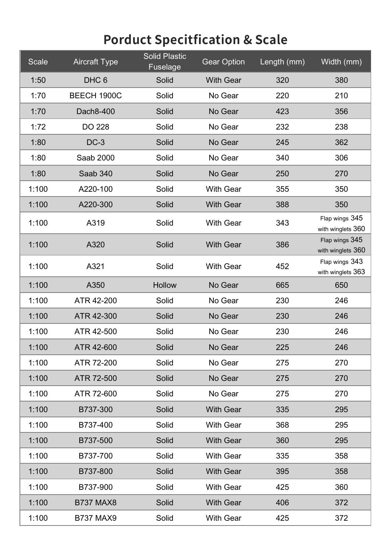| Scale | <b>Aircraft Type</b> | <b>Solid Plastic</b><br>Fuselage | <b>Gear Option</b> | Length (mm) | Width (mm)                          |
|-------|----------------------|----------------------------------|--------------------|-------------|-------------------------------------|
| 1:50  | DHC <sub>6</sub>     | Solid                            | <b>With Gear</b>   | 320         | 380                                 |
| 1:70  | BEECH 1900C          | Solid                            | No Gear            | 220         | 210                                 |
| 1:70  | Dach8-400            | Solid                            | No Gear            | 423         | 356                                 |
| 1:72  | <b>DO 228</b>        | Solid                            | No Gear            | 232         | 238                                 |
| 1:80  | $DC-3$               | Solid                            | No Gear            | 245         | 362                                 |
| 1:80  | Saab 2000            | Solid                            | No Gear            | 340         | 306                                 |
| 1:80  | Saab 340             | Solid                            | No Gear            | 250         | 270                                 |
| 1:100 | A220-100             | Solid                            | <b>With Gear</b>   | 355         | 350                                 |
| 1:100 | A220-300             | Solid                            | <b>With Gear</b>   | 388         | 350                                 |
| 1:100 | A319                 | Solid                            | <b>With Gear</b>   | 343         | Flap wings 345<br>with winglets 360 |
| 1:100 | A320                 | Solid                            | <b>With Gear</b>   | 386         | Flap wings 345<br>with winglets 360 |
| 1:100 | A321                 | Solid                            | <b>With Gear</b>   | 452         | Flap wings 343<br>with winglets 363 |
| 1:100 | A350                 | <b>Hollow</b>                    | No Gear            | 665         | 650                                 |
| 1:100 | ATR 42-200           | Solid                            | No Gear            | 230         | 246                                 |
| 1:100 | ATR 42-300           | Solid                            | No Gear            | 230         | 246                                 |
| 1:100 | ATR 42-500           | Solid                            | No Gear            | 230         | 246                                 |
| 1:100 | ATR 42-600           | Solid                            | No Gear            | 225         | 246                                 |
| 1:100 | ATR 72-200           | Solid                            | No Gear            | 275         | 270                                 |
| 1:100 | ATR 72-500           | Solid                            | No Gear            | 275         | 270                                 |
| 1:100 | ATR 72-600           | Solid                            | No Gear            | 275         | 270                                 |
| 1:100 | B737-300             | Solid                            | <b>With Gear</b>   | 335         | 295                                 |
| 1:100 | B737-400             | Solid                            | <b>With Gear</b>   | 368         | 295                                 |
| 1:100 | B737-500             | Solid                            | <b>With Gear</b>   | 360         | 295                                 |
| 1:100 | B737-700             | Solid                            | <b>With Gear</b>   | 335         | 358                                 |
| 1:100 | B737-800             | Solid                            | <b>With Gear</b>   | 395         | 358                                 |
| 1:100 | B737-900             | Solid                            | <b>With Gear</b>   | 425         | 360                                 |
| 1:100 | <b>B737 MAX8</b>     | Solid                            | <b>With Gear</b>   | 406         | 372                                 |
| 1:100 | <b>B737 MAX9</b>     | Solid                            | <b>With Gear</b>   | 425         | 372                                 |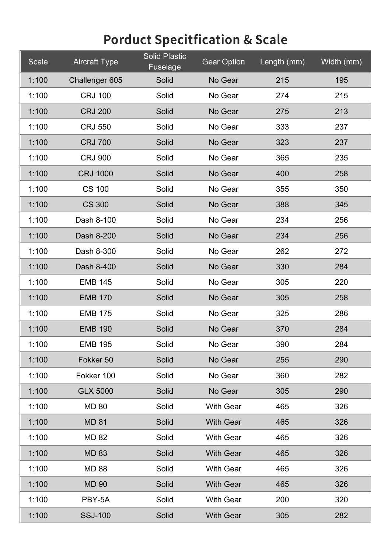| Scale | <b>Aircraft Type</b> | <b>Solid Plastic</b><br>Fuselage | <b>Gear Option</b> | Length (mm) | Width (mm) |
|-------|----------------------|----------------------------------|--------------------|-------------|------------|
| 1:100 | Challenger 605       | Solid                            | No Gear            | 215         | 195        |
| 1:100 | <b>CRJ 100</b>       | Solid                            | No Gear            | 274         | 215        |
| 1:100 | <b>CRJ 200</b>       | Solid                            | No Gear            | 275         | 213        |
| 1:100 | <b>CRJ 550</b>       | Solid                            | No Gear            | 333         | 237        |
| 1:100 | <b>CRJ 700</b>       | Solid                            | No Gear            | 323         | 237        |
| 1:100 | <b>CRJ 900</b>       | Solid                            | No Gear            | 365         | 235        |
| 1:100 | <b>CRJ 1000</b>      | Solid                            | No Gear            | 400         | 258        |
| 1:100 | <b>CS 100</b>        | Solid                            | No Gear            | 355         | 350        |
| 1:100 | <b>CS 300</b>        | Solid                            | No Gear            | 388         | 345        |
| 1:100 | Dash 8-100           | Solid                            | No Gear            | 234         | 256        |
| 1:100 | Dash 8-200           | Solid                            | No Gear            | 234         | 256        |
| 1:100 | Dash 8-300           | Solid                            | No Gear            | 262         | 272        |
| 1:100 | Dash 8-400           | Solid                            | No Gear            | 330         | 284        |
| 1:100 | <b>EMB 145</b>       | Solid                            | No Gear            | 305         | 220        |
| 1:100 | <b>EMB 170</b>       | Solid                            | No Gear            | 305         | 258        |
| 1:100 | <b>EMB 175</b>       | Solid                            | No Gear            | 325         | 286        |
| 1:100 | <b>EMB 190</b>       | Solid                            | No Gear            | 370         | 284        |
| 1:100 | <b>EMB 195</b>       | Solid                            | No Gear            | 390         | 284        |
| 1:100 | Fokker 50            | Solid                            | No Gear            | 255         | 290        |
| 1:100 | Fokker 100           | Solid                            | No Gear            | 360         | 282        |
| 1:100 | <b>GLX 5000</b>      | Solid                            | No Gear            | 305         | 290        |
| 1:100 | <b>MD 80</b>         | Solid                            | <b>With Gear</b>   | 465         | 326        |
| 1:100 | <b>MD 81</b>         | Solid                            | <b>With Gear</b>   | 465         | 326        |
| 1:100 | <b>MD 82</b>         | Solid                            | <b>With Gear</b>   | 465         | 326        |
| 1:100 | <b>MD 83</b>         | Solid                            | <b>With Gear</b>   | 465         | 326        |
| 1:100 | <b>MD 88</b>         | Solid                            | <b>With Gear</b>   | 465         | 326        |
| 1:100 | <b>MD 90</b>         | Solid                            | <b>With Gear</b>   | 465         | 326        |
| 1:100 | PBY-5A               | Solid                            | <b>With Gear</b>   | 200         | 320        |
| 1:100 | <b>SSJ-100</b>       | Solid                            | <b>With Gear</b>   | 305         | 282        |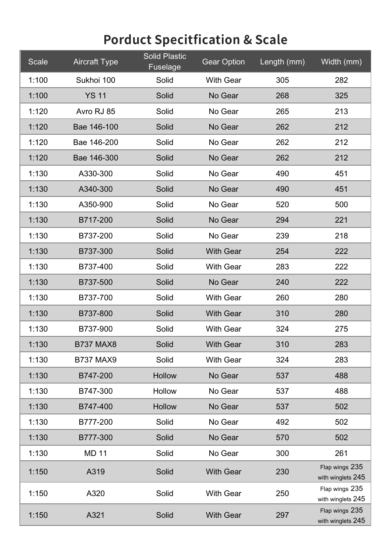| <b>Scale</b> | <b>Aircraft Type</b> | <b>Solid Plastic</b><br><b>Fuselage</b> | Gear Option      | Length (mm) | Width (mm)                          |
|--------------|----------------------|-----------------------------------------|------------------|-------------|-------------------------------------|
| 1:100        | Sukhoi 100           | Solid                                   | <b>With Gear</b> | 305         | 282                                 |
| 1:100        | <b>YS 11</b>         | Solid                                   | No Gear          | 268         | 325                                 |
| 1:120        | Avro RJ 85           | Solid                                   | No Gear          | 265         | 213                                 |
| 1:120        | Bae 146-100          | Solid                                   | No Gear          | 262         | 212                                 |
| 1:120        | Bae 146-200          | Solid                                   | No Gear          | 262         | 212                                 |
| 1:120        | Bae 146-300          | Solid                                   | No Gear          | 262         | 212                                 |
| 1:130        | A330-300             | Solid                                   | No Gear          | 490         | 451                                 |
| 1:130        | A340-300             | Solid                                   | No Gear          | 490         | 451                                 |
| 1:130        | A350-900             | Solid                                   | No Gear          | 520         | 500                                 |
| 1:130        | B717-200             | Solid                                   | No Gear          | 294         | 221                                 |
| 1:130        | B737-200             | Solid                                   | No Gear          | 239         | 218                                 |
| 1:130        | B737-300             | Solid                                   | <b>With Gear</b> | 254         | 222                                 |
| 1:130        | B737-400             | Solid                                   | <b>With Gear</b> | 283         | 222                                 |
| 1:130        | B737-500             | Solid                                   | No Gear          | 240         | 222                                 |
| 1:130        | B737-700             | Solid                                   | <b>With Gear</b> | 260         | 280                                 |
| 1:130        | B737-800             | Solid                                   | <b>With Gear</b> | 310         | 280                                 |
| 1:130        | B737-900             | Solid                                   | <b>With Gear</b> | 324         | 275                                 |
| 1:130        | <b>B737 MAX8</b>     | Solid                                   | <b>With Gear</b> | 310         | 283                                 |
| 1:130        | <b>B737 MAX9</b>     | Solid                                   | <b>With Gear</b> | 324         | 283                                 |
| 1:130        | B747-200             | Hollow                                  | No Gear          | 537         | 488                                 |
| 1:130        | B747-300             | Hollow                                  | No Gear          | 537         | 488                                 |
| 1:130        | B747-400             | Hollow                                  | No Gear          | 537         | 502                                 |
| 1:130        | B777-200             | Solid                                   | No Gear          | 492         | 502                                 |
| 1:130        | B777-300             | Solid                                   | No Gear          | 570         | 502                                 |
| 1:130        | <b>MD 11</b>         | Solid                                   | No Gear          | 300         | 261                                 |
| 1:150        | A319                 | Solid                                   | <b>With Gear</b> | 230         | Flap wings 235<br>with winglets 245 |
| 1:150        | A320                 | Solid                                   | <b>With Gear</b> | 250         | Flap wings 235<br>with winglets 245 |
| 1:150        | A321                 | Solid                                   | <b>With Gear</b> | 297         | Flap wings 235<br>with winglets 245 |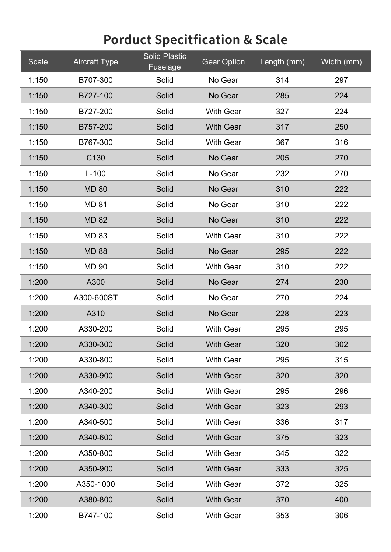| Scale | <b>Aircraft Type</b> | <b>Solid Plastic</b><br>Fuselage | <b>Gear Option</b> | Length (mm) | Width (mm) |
|-------|----------------------|----------------------------------|--------------------|-------------|------------|
| 1:150 | B707-300             | Solid                            | No Gear            | 314         | 297        |
| 1:150 | B727-100             | Solid                            | No Gear            | 285         | 224        |
| 1:150 | B727-200             | Solid                            | <b>With Gear</b>   | 327         | 224        |
| 1:150 | B757-200             | Solid                            | <b>With Gear</b>   | 317         | 250        |
| 1:150 | B767-300             | Solid                            | <b>With Gear</b>   | 367         | 316        |
| 1:150 | C <sub>130</sub>     | Solid                            | No Gear            | 205         | 270        |
| 1:150 | $L-100$              | Solid                            | No Gear            | 232         | 270        |
| 1:150 | <b>MD 80</b>         | Solid                            | No Gear            | 310         | 222        |
| 1:150 | <b>MD 81</b>         | Solid                            | No Gear            | 310         | 222        |
| 1:150 | <b>MD 82</b>         | Solid                            | No Gear            | 310         | 222        |
| 1:150 | <b>MD 83</b>         | Solid                            | <b>With Gear</b>   | 310         | 222        |
| 1:150 | <b>MD 88</b>         | Solid                            | No Gear            | 295         | 222        |
| 1:150 | <b>MD 90</b>         | Solid                            | <b>With Gear</b>   | 310         | 222        |
| 1:200 | A300                 | Solid                            | No Gear            | 274         | 230        |
| 1:200 | A300-600ST           | Solid                            | No Gear            | 270         | 224        |
| 1:200 | A310                 | Solid                            | No Gear            | 228         | 223        |
| 1:200 | A330-200             | Solid                            | <b>With Gear</b>   | 295         | 295        |
| 1:200 | A330-300             | Solid                            | <b>With Gear</b>   | 320         | 302        |
| 1:200 | A330-800             | Solid                            | <b>With Gear</b>   | 295         | 315        |
| 1:200 | A330-900             | Solid                            | <b>With Gear</b>   | 320         | 320        |
| 1:200 | A340-200             | Solid                            | <b>With Gear</b>   | 295         | 296        |
| 1:200 | A340-300             | Solid                            | <b>With Gear</b>   | 323         | 293        |
| 1:200 | A340-500             | Solid                            | <b>With Gear</b>   | 336         | 317        |
| 1:200 | A340-600             | Solid                            | <b>With Gear</b>   | 375         | 323        |
| 1:200 | A350-800             | Solid                            | <b>With Gear</b>   | 345         | 322        |
| 1:200 | A350-900             | Solid                            | <b>With Gear</b>   | 333         | 325        |
| 1:200 | A350-1000            | Solid                            | <b>With Gear</b>   | 372         | 325        |
| 1:200 | A380-800             | Solid                            | <b>With Gear</b>   | 370         | 400        |
| 1:200 | B747-100             | Solid                            | <b>With Gear</b>   | 353         | 306        |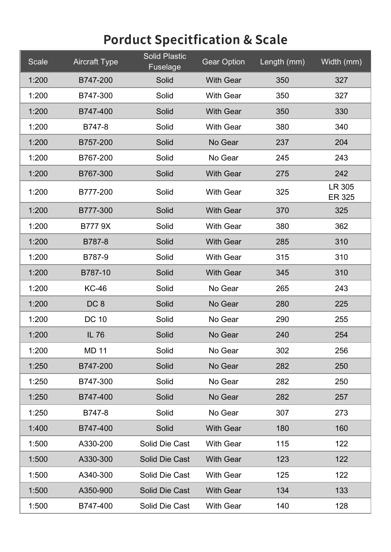| Scale | <b>Aircraft Type</b> | <b>Solid Plastic</b><br>Fuselage | <b>Gear Option</b> | Length (mm) | Width (mm)              |
|-------|----------------------|----------------------------------|--------------------|-------------|-------------------------|
| 1:200 | B747-200             | Solid                            | <b>With Gear</b>   | 350         | 327                     |
| 1:200 | B747-300             | Solid                            | <b>With Gear</b>   | 350         | 327                     |
| 1:200 | B747-400             | Solid                            | <b>With Gear</b>   | 350         | 330                     |
| 1:200 | B747-8               | Solid                            | <b>With Gear</b>   | 380         | 340                     |
| 1:200 | B757-200             | Solid                            | No Gear            | 237         | 204                     |
| 1:200 | B767-200             | Solid                            | No Gear            | 245         | 243                     |
| 1:200 | B767-300             | Solid                            | <b>With Gear</b>   | 275         | 242                     |
| 1:200 | B777-200             | Solid                            | <b>With Gear</b>   | 325         | LR 305<br><b>ER 325</b> |
| 1:200 | B777-300             | Solid                            | <b>With Gear</b>   | 370         | 325                     |
| 1:200 | <b>B7779X</b>        | Solid                            | <b>With Gear</b>   | 380         | 362                     |
| 1:200 | B787-8               | Solid                            | <b>With Gear</b>   | 285         | 310                     |
| 1:200 | B787-9               | Solid                            | <b>With Gear</b>   | 315         | 310                     |
| 1:200 | B787-10              | Solid                            | <b>With Gear</b>   | 345         | 310                     |
| 1:200 | <b>KC-46</b>         | Solid                            | No Gear            | 265         | 243                     |
| 1:200 | DC <sub>8</sub>      | Solid                            | No Gear            | 280         | 225                     |
| 1:200 | <b>DC 10</b>         | Solid                            | No Gear            | 290         | 255                     |
| 1:200 | <b>IL 76</b>         | Solid                            | No Gear            | 240         | 254                     |
| 1:200 | <b>MD 11</b>         | Solid                            | No Gear            | 302         | 256                     |
| 1:250 | B747-200             | Solid                            | No Gear            | 282         | 250                     |
| 1:250 | B747-300             | Solid                            | No Gear            | 282         | 250                     |
| 1:250 | B747-400             | Solid                            | No Gear            | 282         | 257                     |
| 1:250 | B747-8               | Solid                            | No Gear            | 307         | 273                     |
| 1:400 | B747-400             | Solid                            | <b>With Gear</b>   | 180         | 160                     |
| 1:500 | A330-200             | Solid Die Cast                   | <b>With Gear</b>   | 115         | 122                     |
| 1:500 | A330-300             | Solid Die Cast                   | <b>With Gear</b>   | 123         | 122                     |
| 1:500 | A340-300             | Solid Die Cast                   | <b>With Gear</b>   | 125         | 122                     |
| 1:500 | A350-900             | Solid Die Cast                   | <b>With Gear</b>   | 134         | 133                     |
| 1:500 | B747-400             | Solid Die Cast                   | <b>With Gear</b>   | 140         | 128                     |